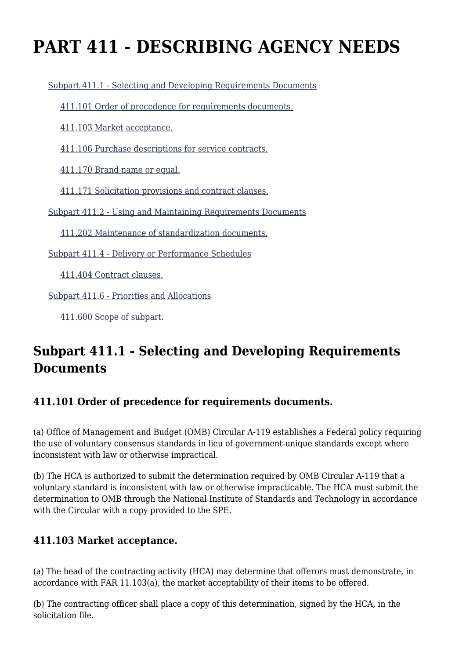# **PART 411 - DESCRIBING AGENCY NEEDS**

[Subpart 411.1 - Selecting and Developing Requirements Documents](https://origin-www.acquisition.gov/%5Brp:link:agar-part-411%5D#Subpart_411_1_T48_40212121)

[411.101 Order of precedence for requirements documents.](https://origin-www.acquisition.gov/%5Brp:link:agar-part-411%5D#Section_411_101_T48_4021212111)

[411.103 Market acceptance.](https://origin-www.acquisition.gov/%5Brp:link:agar-part-411%5D#Section_411_103_T48_4021212112)

[411.106 Purchase descriptions for service contracts.](https://origin-www.acquisition.gov/%5Brp:link:agar-part-411%5D#Section_411_106_T48_4021212113)

[411.170 Brand name or equal.](https://origin-www.acquisition.gov/%5Brp:link:agar-part-411%5D#Section_411_170_T48_4021212114)

[411.171 Solicitation provisions and contract clauses.](https://origin-www.acquisition.gov/%5Brp:link:agar-part-411%5D#Section_411_171_T48_4021212115)

[Subpart 411.2 - Using and Maintaining Requirements Documents](https://origin-www.acquisition.gov/%5Brp:link:agar-part-411%5D#Subpart_411_2_T48_40212122)

[411.202 Maintenance of standardization documents.](https://origin-www.acquisition.gov/%5Brp:link:agar-part-411%5D#Section_411_202_T48_4021212211)

[Subpart 411.4 - Delivery or Performance Schedules](https://origin-www.acquisition.gov/%5Brp:link:agar-part-411%5D#Subpart_411_4_T48_40212123)

[411.404 Contract clauses.](https://origin-www.acquisition.gov/%5Brp:link:agar-part-411%5D#Section_411_404_T48_4021212311)

[Subpart 411.6 - Priorities and Allocations](https://origin-www.acquisition.gov/%5Brp:link:agar-part-411%5D#Subpart_411_6_T48_40212124)

[411.600 Scope of subpart.](https://origin-www.acquisition.gov/%5Brp:link:agar-part-411%5D#Section_411_600_T48_4021212411)

### **Subpart 411.1 - Selecting and Developing Requirements Documents**

### **411.101 Order of precedence for requirements documents.**

(a) Office of Management and Budget (OMB) Circular A-119 establishes a Federal policy requiring the use of voluntary consensus standards in lieu of government-unique standards except where inconsistent with law or otherwise impractical.

(b) The HCA is authorized to submit the determination required by OMB Circular A-119 that a voluntary standard is inconsistent with law or otherwise impracticable. The HCA must submit the determination to OMB through the National Institute of Standards and Technology in accordance with the Circular with a copy provided to the SPE.

### **411.103 Market acceptance.**

(a) The head of the contracting activity (HCA) may determine that offerors must demonstrate, in accordance with FAR 11.103(a), the market acceptability of their items to be offered.

(b) The contracting officer shall place a copy of this determination, signed by the HCA, in the solicitation file.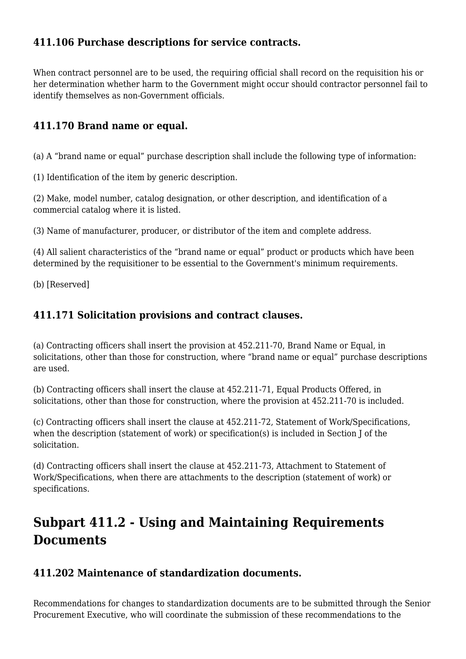### **411.106 Purchase descriptions for service contracts.**

When contract personnel are to be used, the requiring official shall record on the requisition his or her determination whether harm to the Government might occur should contractor personnel fail to identify themselves as non-Government officials.

### **411.170 Brand name or equal.**

(a) A "brand name or equal" purchase description shall include the following type of information:

(1) Identification of the item by generic description.

(2) Make, model number, catalog designation, or other description, and identification of a commercial catalog where it is listed.

(3) Name of manufacturer, producer, or distributor of the item and complete address.

(4) All salient characteristics of the "brand name or equal" product or products which have been determined by the requisitioner to be essential to the Government's minimum requirements.

(b) [Reserved]

### **411.171 Solicitation provisions and contract clauses.**

(a) Contracting officers shall insert the provision at 452.211-70, Brand Name or Equal, in solicitations, other than those for construction, where "brand name or equal" purchase descriptions are used.

(b) Contracting officers shall insert the clause at 452.211-71, Equal Products Offered, in solicitations, other than those for construction, where the provision at 452.211-70 is included.

(c) Contracting officers shall insert the clause at 452.211-72, Statement of Work/Specifications, when the description (statement of work) or specification(s) is included in Section J of the solicitation.

(d) Contracting officers shall insert the clause at 452.211-73, Attachment to Statement of Work/Specifications, when there are attachments to the description (statement of work) or specifications.

## **Subpart 411.2 - Using and Maintaining Requirements Documents**

### **411.202 Maintenance of standardization documents.**

Recommendations for changes to standardization documents are to be submitted through the Senior Procurement Executive, who will coordinate the submission of these recommendations to the